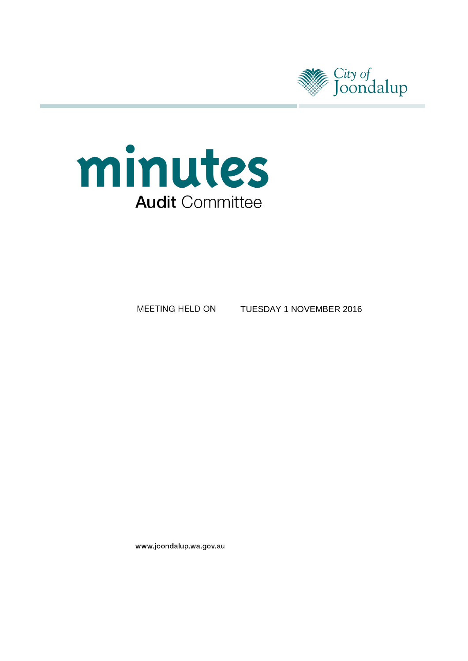



MEETING HELD ON TUESDAY 1 NOVEMBER 2016

www.joondalup.wa.gov.au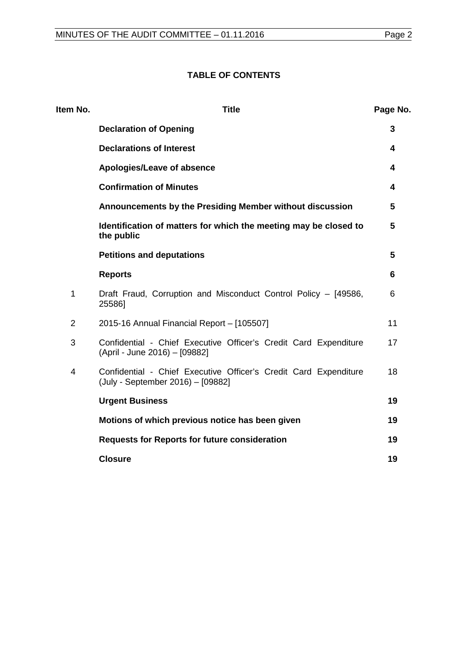# **TABLE OF CONTENTS**

| Item No.       | <b>Title</b>                                                                                          | Page No. |
|----------------|-------------------------------------------------------------------------------------------------------|----------|
|                | <b>Declaration of Opening</b>                                                                         | 3        |
|                | <b>Declarations of Interest</b>                                                                       | 4        |
|                | Apologies/Leave of absence                                                                            | 4        |
|                | <b>Confirmation of Minutes</b>                                                                        | 4        |
|                | Announcements by the Presiding Member without discussion                                              | 5        |
|                | Identification of matters for which the meeting may be closed to<br>the public                        | 5        |
|                | <b>Petitions and deputations</b>                                                                      | 5        |
|                | <b>Reports</b>                                                                                        | 6        |
| 1              | Draft Fraud, Corruption and Misconduct Control Policy - [49586,<br>25586]                             | 6        |
| $\overline{2}$ | 2015-16 Annual Financial Report - [105507]                                                            | 11       |
| 3              | Confidential - Chief Executive Officer's Credit Card Expenditure<br>(April - June 2016) - [09882]     | 17       |
| $\overline{4}$ | Confidential - Chief Executive Officer's Credit Card Expenditure<br>(July - September 2016) - [09882] | 18       |
|                | <b>Urgent Business</b>                                                                                | 19       |
|                | Motions of which previous notice has been given                                                       | 19       |
|                | <b>Requests for Reports for future consideration</b>                                                  | 19       |
|                | <b>Closure</b>                                                                                        | 19       |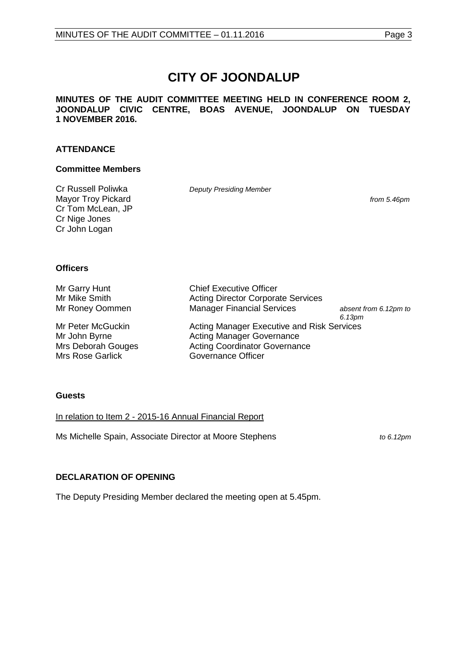# **CITY OF JOONDALUP**

**MINUTES OF THE AUDIT COMMITTEE MEETING HELD IN CONFERENCE ROOM 2, JOONDALUP CIVIC CENTRE, BOAS AVENUE, JOONDALUP ON TUESDAY 1 NOVEMBER 2016.** 

# **ATTENDANCE**

#### **Committee Members**

Cr Russell Poliwka *Deputy Presiding Member* Mayor Troy Pickard *from 5.46pm* Cr Tom McLean, JP Cr Nige Jones Cr John Logan

#### **Officers**

Mr Garry Hunt Chief Executive Officer<br>
Mr Mike Smith Chief Executive Officer<br>
Acting Director Corpora Mr Mike Smith **Acting Director Corporate Services**<br>
Mr Roney Oommen Manager Financial Services

Mrs Deborah Gouges<br>
Mrs Rose Garlick Governance Officer<br>
Governance Officer Mrs Rose Garlick

Manager Financial Services *absent from 6.12pm to 6.13pm* Mr Peter McGuckin **Acting Manager Executive and Risk Services** Mr John Byrne **Acting Manager Governance** 

# **Guests**

In relation to Item 2 - 2015-16 Annual Financial Report

Ms Michelle Spain, Associate Director at Moore Stephens*to 6.12pm*

# <span id="page-2-0"></span>**DECLARATION OF OPENING**

<span id="page-2-1"></span>The Deputy Presiding Member declared the meeting open at 5.45pm.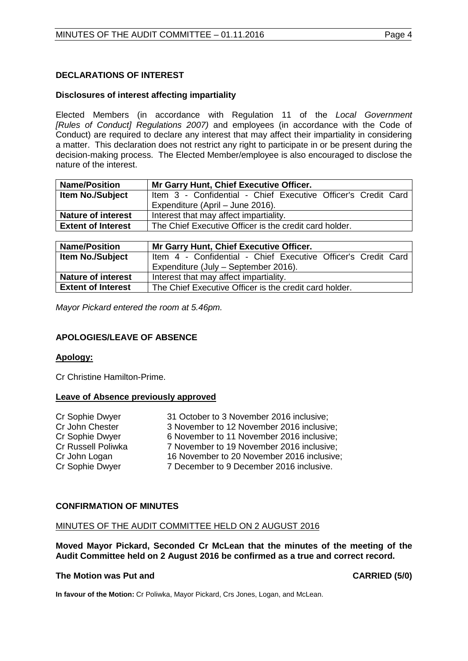# **DECLARATIONS OF INTEREST**

#### **Disclosures of interest affecting impartiality**

Elected Members (in accordance with Regulation 11 of the *Local Government [Rules of Conduct] Regulations 2007)* and employees (in accordance with the Code of Conduct) are required to declare any interest that may affect their impartiality in considering a matter. This declaration does not restrict any right to participate in or be present during the decision-making process. The Elected Member/employee is also encouraged to disclose the nature of the interest.

| <b>Name/Position</b>      | Mr Garry Hunt, Chief Executive Officer.                       |  |  |
|---------------------------|---------------------------------------------------------------|--|--|
| <b>Item No./Subject</b>   | Item 3 - Confidential - Chief Executive Officer's Credit Card |  |  |
|                           | Expenditure (April - June 2016).                              |  |  |
| <b>Nature of interest</b> | Interest that may affect impartiality.                        |  |  |
| <b>Extent of Interest</b> | The Chief Executive Officer is the credit card holder.        |  |  |

| <b>Name/Position</b>      | Mr Garry Hunt, Chief Executive Officer.                       |  |  |
|---------------------------|---------------------------------------------------------------|--|--|
| <b>Item No./Subject</b>   | Item 4 - Confidential - Chief Executive Officer's Credit Card |  |  |
|                           | Expenditure (July – September 2016).                          |  |  |
| <b>Nature of interest</b> | Interest that may affect impartiality.                        |  |  |
| <b>Extent of Interest</b> | The Chief Executive Officer is the credit card holder.        |  |  |

*Mayor Pickard entered the room at 5.46pm.*

# <span id="page-3-0"></span>**APOLOGIES/LEAVE OF ABSENCE**

#### **Apology:**

Cr Christine Hamilton-Prime.

#### **Leave of Absence previously approved**

| Cr Sophie Dwyer    | 31 October to 3 November 2016 inclusive;   |
|--------------------|--------------------------------------------|
| Cr John Chester    | 3 November to 12 November 2016 inclusive;  |
| Cr Sophie Dwyer    | 6 November to 11 November 2016 inclusive;  |
| Cr Russell Poliwka | 7 November to 19 November 2016 inclusive;  |
| Cr John Logan      | 16 November to 20 November 2016 inclusive; |
| Cr Sophie Dwyer    | 7 December to 9 December 2016 inclusive.   |

# <span id="page-3-1"></span>**CONFIRMATION OF MINUTES**

#### MINUTES OF THE AUDIT COMMITTEE HELD ON 2 AUGUST 2016

**Moved Mayor Pickard, Seconded Cr McLean that the minutes of the meeting of the Audit Committee held on 2 August 2016 be confirmed as a true and correct record.**

#### **The Motion was Put and CARRIED (5/0)**

<span id="page-3-2"></span>**In favour of the Motion:** Cr Poliwka, Mayor Pickard, Crs Jones, Logan, and McLean.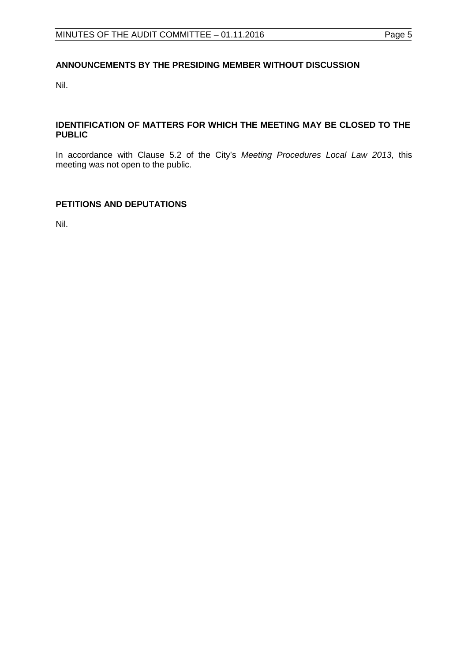# **ANNOUNCEMENTS BY THE PRESIDING MEMBER WITHOUT DISCUSSION**

Nil.

# <span id="page-4-0"></span>**IDENTIFICATION OF MATTERS FOR WHICH THE MEETING MAY BE CLOSED TO THE PUBLIC**

In accordance with Clause 5.2 of the City's *Meeting Procedures Local Law 2013*, this meeting was not open to the public.

# <span id="page-4-1"></span>**PETITIONS AND DEPUTATIONS**

Nil.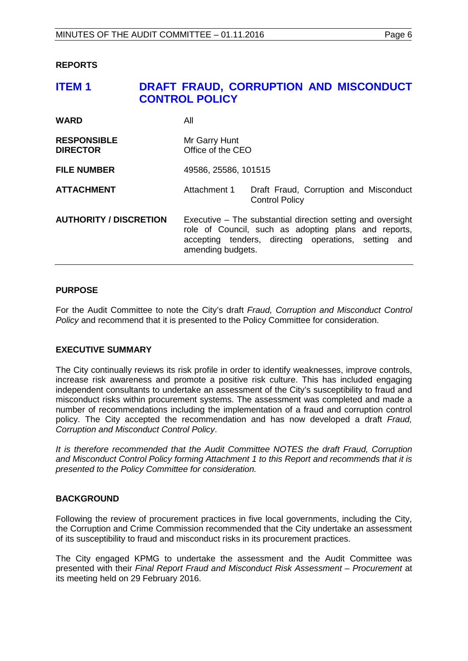#### <span id="page-5-0"></span>**REPORTS**

# <span id="page-5-1"></span>**ITEM 1 DRAFT FRAUD, CORRUPTION AND MISCONDUCT CONTROL POLICY**

| <b>WARD</b>                           | All                                                                                                                                                                                              |                                                                 |
|---------------------------------------|--------------------------------------------------------------------------------------------------------------------------------------------------------------------------------------------------|-----------------------------------------------------------------|
| <b>RESPONSIBLE</b><br><b>DIRECTOR</b> | Mr Garry Hunt<br>Office of the CEO                                                                                                                                                               |                                                                 |
| <b>FILE NUMBER</b>                    | 49586, 25586, 101515                                                                                                                                                                             |                                                                 |
| <b>ATTACHMENT</b>                     | Attachment 1                                                                                                                                                                                     | Draft Fraud, Corruption and Misconduct<br><b>Control Policy</b> |
| <b>AUTHORITY / DISCRETION</b>         | Executive – The substantial direction setting and oversight<br>role of Council, such as adopting plans and reports,<br>accepting tenders, directing operations, setting and<br>amending budgets. |                                                                 |

# **PURPOSE**

For the Audit Committee to note the City's draft *Fraud, Corruption and Misconduct Control Policy* and recommend that it is presented to the Policy Committee for consideration.

#### **EXECUTIVE SUMMARY**

The City continually reviews its risk profile in order to identify weaknesses, improve controls, increase risk awareness and promote a positive risk culture. This has included engaging independent consultants to undertake an assessment of the City's susceptibility to fraud and misconduct risks within procurement systems. The assessment was completed and made a number of recommendations including the implementation of a fraud and corruption control policy. The City accepted the recommendation and has now developed a draft *Fraud, Corruption and Misconduct Control Policy*.

*It is therefore recommended that the Audit Committee NOTES the draft Fraud, Corruption and Misconduct Control Policy forming Attachment 1 to this Report and recommends that it is presented to the Policy Committee for consideration.* 

#### **BACKGROUND**

Following the review of procurement practices in five local governments, including the City, the Corruption and Crime Commission recommended that the City undertake an assessment of its susceptibility to fraud and misconduct risks in its procurement practices.

The City engaged KPMG to undertake the assessment and the Audit Committee was presented with their *Final Report Fraud and Misconduct Risk Assessment – Procurement* at its meeting held on 29 February 2016.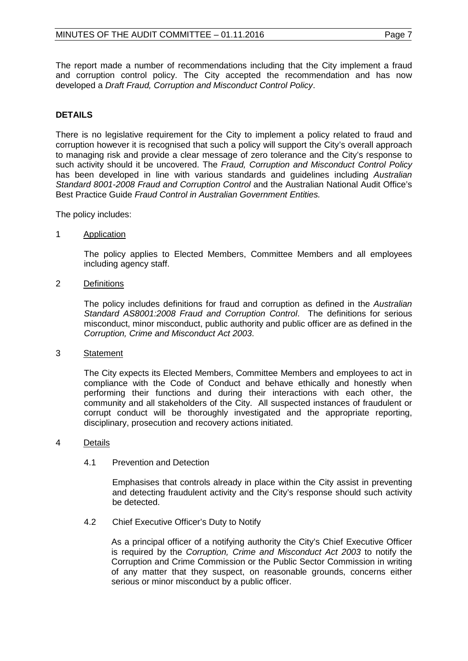The report made a number of recommendations including that the City implement a fraud and corruption control policy. The City accepted the recommendation and has now developed a *Draft Fraud, Corruption and Misconduct Control Policy*.

# **DETAILS**

There is no legislative requirement for the City to implement a policy related to fraud and corruption however it is recognised that such a policy will support the City's overall approach to managing risk and provide a clear message of zero tolerance and the City's response to such activity should it be uncovered. The *Fraud, Corruption and Misconduct Control Policy* has been developed in line with various standards and guidelines including *Australian Standard 8001-2008 Fraud and Corruption Control* and the Australian National Audit Office's Best Practice Guide *Fraud Control in Australian Government Entities.*

The policy includes:

1 Application

The policy applies to Elected Members, Committee Members and all employees including agency staff.

2 Definitions

The policy includes definitions for fraud and corruption as defined in the *Australian Standard AS8001:2008 Fraud and Corruption Control*. The definitions for serious misconduct, minor misconduct, public authority and public officer are as defined in the *Corruption, Crime and Misconduct Act 2003*.

# 3 Statement

The City expects its Elected Members, Committee Members and employees to act in compliance with the Code of Conduct and behave ethically and honestly when performing their functions and during their interactions with each other, the community and all stakeholders of the City. All suspected instances of fraudulent or corrupt conduct will be thoroughly investigated and the appropriate reporting, disciplinary, prosecution and recovery actions initiated.

# 4 Details

4.1 Prevention and Detection

Emphasises that controls already in place within the City assist in preventing and detecting fraudulent activity and the City's response should such activity be detected.

4.2 Chief Executive Officer's Duty to Notify

As a principal officer of a notifying authority the City's Chief Executive Officer is required by the *Corruption, Crime and Misconduct Act 2003* to notify the Corruption and Crime Commission or the Public Sector Commission in writing of any matter that they suspect, on reasonable grounds, concerns either serious or minor misconduct by a public officer.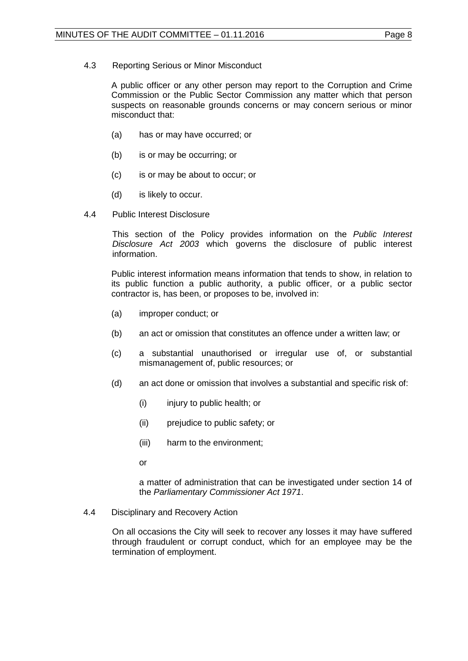A public officer or any other person may report to the Corruption and Crime Commission or the Public Sector Commission any matter which that person suspects on reasonable grounds concerns or may concern serious or minor misconduct that:

- (a) has or may have occurred; or
- (b) is or may be occurring; or
- (c) is or may be about to occur; or
- (d) is likely to occur.
- 4.4 Public Interest Disclosure

This section of the Policy provides information on the *Public Interest Disclosure Act 2003* which governs the disclosure of public interest information.

Public interest information means information that tends to show, in relation to its public function a public authority, a public officer, or a public sector contractor is, has been, or proposes to be, involved in:

- (a) improper conduct; or
- (b) an act or omission that constitutes an offence under a written law; or
- (c) a substantial unauthorised or irregular use of, or substantial mismanagement of, public resources; or
- (d) an act done or omission that involves a substantial and specific risk of:
	- (i) injury to public health; or
	- (ii) prejudice to public safety; or
	- (iii) harm to the environment;
	- or

a matter of administration that can be investigated under section 14 of the *Parliamentary Commissioner Act 1971*.

4.4 Disciplinary and Recovery Action

On all occasions the City will seek to recover any losses it may have suffered through fraudulent or corrupt conduct, which for an employee may be the termination of employment.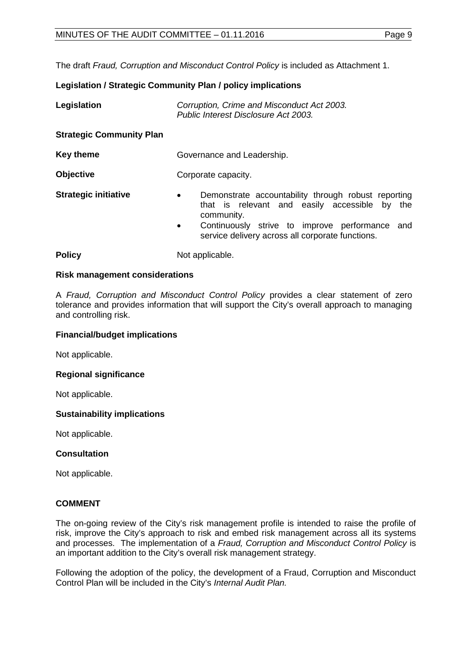The draft *Fraud, Corruption and Misconduct Control Policy* is included as Attachment 1.

# **Legislation / Strategic Community Plan / policy implications**

| Legislation                     | Corruption, Crime and Misconduct Act 2003.<br>Public Interest Disclosure Act 2003.                                                                                                                                                                 |  |
|---------------------------------|----------------------------------------------------------------------------------------------------------------------------------------------------------------------------------------------------------------------------------------------------|--|
| <b>Strategic Community Plan</b> |                                                                                                                                                                                                                                                    |  |
| <b>Key theme</b>                | Governance and Leadership.                                                                                                                                                                                                                         |  |
| <b>Objective</b>                | Corporate capacity.                                                                                                                                                                                                                                |  |
| <b>Strategic initiative</b>     | Demonstrate accountability through robust reporting<br>$\bullet$<br>that is relevant and easily accessible by the<br>community.<br>Continuously strive to improve performance and<br>$\bullet$<br>service delivery across all corporate functions. |  |
| <b>Policy</b>                   | Not applicable.                                                                                                                                                                                                                                    |  |

# **Risk management considerations**

A *Fraud, Corruption and Misconduct Control Policy* provides a clear statement of zero tolerance and provides information that will support the City's overall approach to managing and controlling risk.

## **Financial/budget implications**

Not applicable.

# **Regional significance**

Not applicable.

#### **Sustainability implications**

Not applicable.

# **Consultation**

Not applicable.

# **COMMENT**

The on-going review of the City's risk management profile is intended to raise the profile of risk, improve the City's approach to risk and embed risk management across all its systems and processes. The implementation of a *Fraud, Corruption and Misconduct Control Policy* is an important addition to the City's overall risk management strategy.

Following the adoption of the policy, the development of a Fraud, Corruption and Misconduct Control Plan will be included in the City's *Internal Audit Plan.*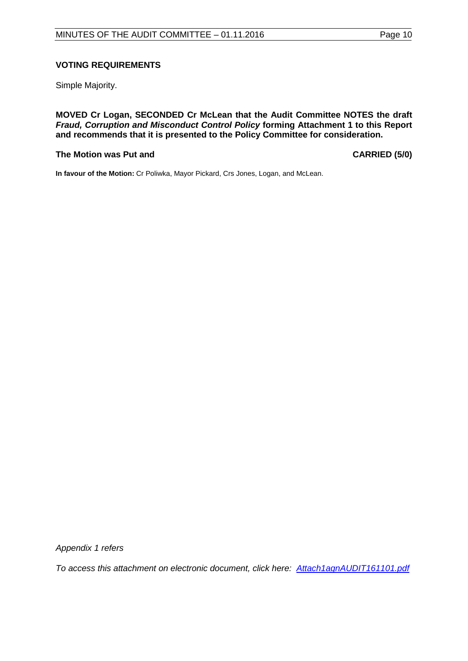# **VOTING REQUIREMENTS**

Simple Majority.

**MOVED Cr Logan, SECONDED Cr McLean that the Audit Committee NOTES the draft**  *Fraud, Corruption and Misconduct Control Policy* **forming Attachment 1 to this Report and recommends that it is presented to the Policy Committee for consideration.**

#### **The Motion was Put and CARRIED (5/0)**

**In favour of the Motion:** Cr Poliwka, Mayor Pickard, Crs Jones, Logan, and McLean.

*Appendix 1 refers*

*[To access this attachment on electronic document, click here: Attach1agnAUDIT161101.pdf](http://www.joondalup.wa.gov.au/files/committees/AUDT/2016/Attach1agnAUDIT161101.pdf)*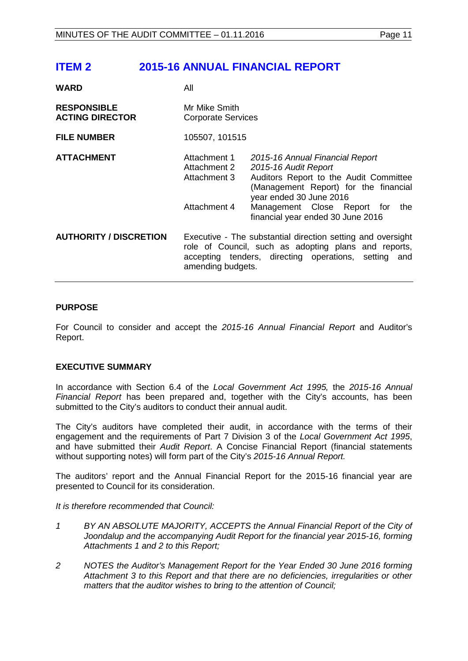# <span id="page-10-0"></span>**ITEM 2 2015-16 ANNUAL FINANCIAL REPORT**

- **WARD** All
- 

| <b>RESPONSIBLE</b><br><b>ACTING DIRECTOR</b><br><b>FILE NUMBER</b> | Mr Mike Smith<br><b>Corporate Services</b><br>105507, 101515                                                                                                                                                                          |                                                                                                                                                                                                             |
|--------------------------------------------------------------------|---------------------------------------------------------------------------------------------------------------------------------------------------------------------------------------------------------------------------------------|-------------------------------------------------------------------------------------------------------------------------------------------------------------------------------------------------------------|
| <b>ATTACHMENT</b>                                                  | Attachment 1<br>Attachment 2<br>Attachment 3<br>Attachment 4                                                                                                                                                                          | 2015-16 Annual Financial Report<br>2015-16 Audit Report<br>Auditors Report to the Audit Committee<br>(Management Report) for the financial<br>year ended 30 June 2016<br>Management Close Report for<br>the |
| <b>AUTHORITY / DISCRETION</b>                                      | financial year ended 30 June 2016<br>Executive - The substantial direction setting and oversight<br>role of Council, such as adopting plans and reports,<br>accepting tenders, directing operations, setting and<br>amending budgets. |                                                                                                                                                                                                             |

# **PURPOSE**

For Council to consider and accept the *2015-16 Annual Financial Report* and Auditor's Report.

# **EXECUTIVE SUMMARY**

In accordance with Section 6.4 of the *Local Government Act 1995,* the *2015-16 Annual Financial Report* has been prepared and, together with the City's accounts, has been submitted to the City's auditors to conduct their annual audit.

The City's auditors have completed their audit, in accordance with the terms of their engagement and the requirements of Part 7 Division 3 of the *Local Government Act 1995*, and have submitted their *Audit Report*. A Concise Financial Report (financial statements without supporting notes) will form part of the City's *2015-16 Annual Report.*

The auditors' report and the Annual Financial Report for the 2015-16 financial year are presented to Council for its consideration.

*It is therefore recommended that Council:*

- *1 BY AN ABSOLUTE MAJORITY, ACCEPTS the Annual Financial Report of the City of Joondalup and the accompanying Audit Report for the financial year 2015-16, forming Attachments 1 and 2 to this Report;*
- *2 NOTES the Auditor's Management Report for the Year Ended 30 June 2016 forming Attachment 3 to this Report and that there are no deficiencies, irregularities or other matters that the auditor wishes to bring to the attention of Council;*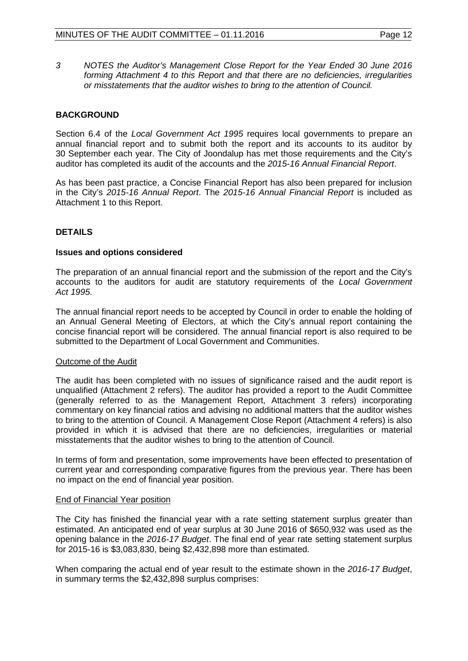*3 NOTES the Auditor's Management Close Report for the Year Ended 30 June 2016 forming Attachment 4 to this Report and that there are no deficiencies, irregularities or misstatements that the auditor wishes to bring to the attention of Council.* 

# **BACKGROUND**

Section 6.4 of the *Local Government Act 1995* requires local governments to prepare an annual financial report and to submit both the report and its accounts to its auditor by 30 September each year. The City of Joondalup has met those requirements and the City's auditor has completed its audit of the accounts and the *2015-16 Annual Financial Report*.

As has been past practice, a Concise Financial Report has also been prepared for inclusion in the City's *2015-16 Annual Report*. The *2015-16 Annual Financial Report* is included as Attachment 1 to this Report.

# **DETAILS**

#### **Issues and options considered**

The preparation of an annual financial report and the submission of the report and the City's accounts to the auditors for audit are statutory requirements of the *Local Government Act 1995*.

The annual financial report needs to be accepted by Council in order to enable the holding of an Annual General Meeting of Electors, at which the City's annual report containing the concise financial report will be considered. The annual financial report is also required to be submitted to the Department of Local Government and Communities.

#### Outcome of the Audit

The audit has been completed with no issues of significance raised and the audit report is unqualified (Attachment 2 refers). The auditor has provided a report to the Audit Committee (generally referred to as the Management Report, Attachment 3 refers) incorporating commentary on key financial ratios and advising no additional matters that the auditor wishes to bring to the attention of Council. A Management Close Report (Attachment 4 refers) is also provided in which it is advised that there are no deficiencies, irregularities or material misstatements that the auditor wishes to bring to the attention of Council.

In terms of form and presentation, some improvements have been effected to presentation of current year and corresponding comparative figures from the previous year. There has been no impact on the end of financial year position.

#### End of Financial Year position

The City has finished the financial year with a rate setting statement surplus greater than estimated. An anticipated end of year surplus at 30 June 2016 of \$650,932 was used as the opening balance in the *2016-17 Budget*. The final end of year rate setting statement surplus for 2015-16 is \$3,083,830, being \$2,432,898 more than estimated.

When comparing the actual end of year result to the estimate shown in the *2016-17 Budget*, in summary terms the \$2,432,898 surplus comprises: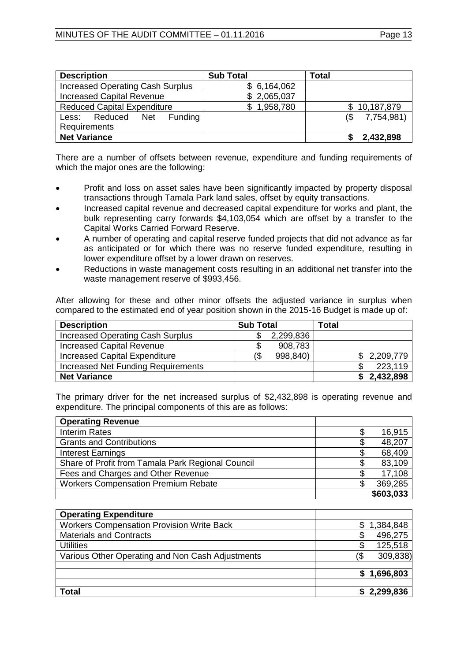| <b>Description</b>                      | <b>Sub Total</b> | Total             |
|-----------------------------------------|------------------|-------------------|
| <b>Increased Operating Cash Surplus</b> | \$6,164,062      |                   |
| <b>Increased Capital Revenue</b>        | \$2,065,037      |                   |
| <b>Reduced Capital Expenditure</b>      | \$1,958,780      | \$10,187,879      |
| Funding<br>Less: Reduced Net            |                  | 7,754,981)<br>(\$ |
| <b>Requirements</b>                     |                  |                   |
| <b>Net Variance</b>                     |                  | 2,432,898         |

There are a number of offsets between revenue, expenditure and funding requirements of which the major ones are the following:

- Profit and loss on asset sales have been significantly impacted by property disposal transactions through Tamala Park land sales, offset by equity transactions.
- Increased capital revenue and decreased capital expenditure for works and plant, the bulk representing carry forwards \$4,103,054 which are offset by a transfer to the Capital Works Carried Forward Reserve.
- A number of operating and capital reserve funded projects that did not advance as far as anticipated or for which there was no reserve funded expenditure, resulting in lower expenditure offset by a lower drawn on reserves.
- Reductions in waste management costs resulting in an additional net transfer into the waste management reserve of \$993,456.

After allowing for these and other minor offsets the adjusted variance in surplus when compared to the estimated end of year position shown in the 2015-16 Budget is made up of:

| <b>Description</b>                        | <b>Sub Total</b> | <b>Total</b> |
|-------------------------------------------|------------------|--------------|
| <b>Increased Operating Cash Surplus</b>   | 2,299,836        |              |
| <b>Increased Capital Revenue</b>          | 908,783<br>S     |              |
| <b>Increased Capital Expenditure</b>      | 998,840)<br>(\$  | \$2,209,779  |
| <b>Increased Net Funding Requirements</b> |                  | 223,119      |
| <b>Net Variance</b>                       |                  | \$2,432,898  |

The primary driver for the net increased surplus of \$2,432,898 is operating revenue and expenditure. The principal components of this are as follows:

| <b>Operating Revenue</b>                          |           |
|---------------------------------------------------|-----------|
| <b>Interim Rates</b>                              | 16,915    |
| <b>Grants and Contributions</b>                   | 48,207    |
| <b>Interest Earnings</b>                          | 68,409    |
| Share of Profit from Tamala Park Regional Council | 83,109    |
| Fees and Charges and Other Revenue                | 17,108    |
| <b>Workers Compensation Premium Rebate</b>        | 369,285   |
|                                                   | \$603,033 |

| <b>Operating Expenditure</b>                     |                 |
|--------------------------------------------------|-----------------|
| <b>Workers Compensation Provision Write Back</b> | 1,384,848       |
| <b>Materials and Contracts</b>                   | 496,275         |
| <b>Utilities</b>                                 | 125,518<br>S    |
| Various Other Operating and Non Cash Adjustments | 309,838)<br>(\$ |
|                                                  |                 |
|                                                  | \$1,696,803     |
|                                                  |                 |
| <b>Total</b>                                     | 2,299,836       |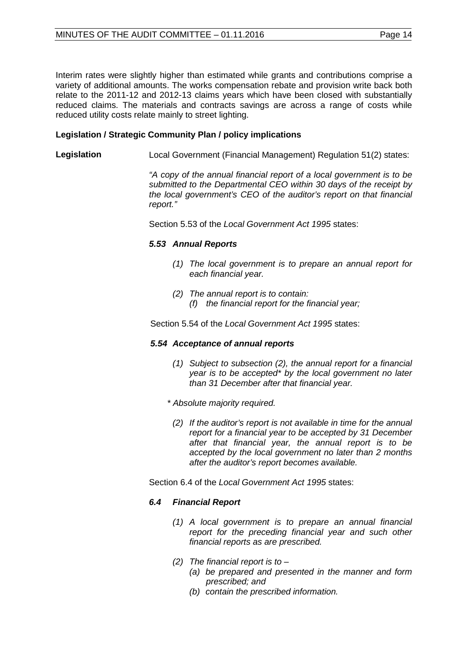Interim rates were slightly higher than estimated while grants and contributions comprise a variety of additional amounts. The works compensation rebate and provision write back both relate to the 2011-12 and 2012-13 claims years which have been closed with substantially reduced claims. The materials and contracts savings are across a range of costs while reduced utility costs relate mainly to street lighting.

#### **Legislation / Strategic Community Plan / policy implications**

**Legislation** Local Government (Financial Management) Regulation 51(2) states:

*"A copy of the annual financial report of a local government is to be submitted to the Departmental CEO within 30 days of the receipt by the local government's CEO of the auditor's report on that financial report."*

Section 5.53 of the *Local Government Act 1995* states:

#### *5.53 Annual Reports*

- *(1) The local government is to prepare an annual report for each financial year.*
- *(2) The annual report is to contain:* 
	- *(f) the financial report for the financial year;*

Section 5.54 of the *Local Government Act 1995* states:

#### *5.54 Acceptance of annual reports*

- *(1) Subject to subsection (2), the annual report for a financial year is to be accepted\* by the local government no later than 31 December after that financial year.*
- *\* Absolute majority required.*
	- *(2) If the auditor's report is not available in time for the annual report for a financial year to be accepted by 31 December after that financial year, the annual report is to be accepted by the local government no later than 2 months after the auditor's report becomes available.*

Section 6.4 of the *Local Government Act 1995* states:

# *6.4 Financial Report*

- *(1) A local government is to prepare an annual financial report for the preceding financial year and such other financial reports as are prescribed.*
- *(2) The financial report is to –*
	- *(a) be prepared and presented in the manner and form prescribed; and*
	- *(b) contain the prescribed information.*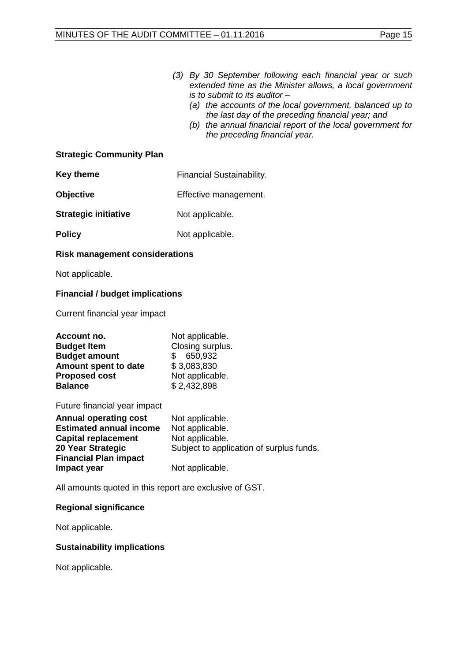- *(3) By 30 September following each financial year or such extended time as the Minister allows, a local government is to submit to its auditor –*
	- *(a) the accounts of the local government, balanced up to the last day of the preceding financial year; and*
	- *(b) the annual financial report of the local government for the preceding financial year.*

# **Strategic Community Plan**

| <b>Key theme</b>            | Financial Sustainability. |
|-----------------------------|---------------------------|
| <b>Objective</b>            | Effective management.     |
| <b>Strategic initiative</b> | Not applicable.           |
| <b>Policy</b>               | Not applicable.           |

# **Risk management considerations**

Not applicable.

# **Financial / budget implications**

#### Current financial year impact

| Account no.<br><b>Budget Item</b><br><b>Budget amount</b><br>Amount spent to date<br><b>Proposed cost</b><br><b>Balance</b>                       | Not applicable.<br>Closing surplus.<br>650,932<br>\$<br>\$3,083,830<br>Not applicable.<br>\$2,432,898 |
|---------------------------------------------------------------------------------------------------------------------------------------------------|-------------------------------------------------------------------------------------------------------|
| <b>Future financial year impact</b>                                                                                                               |                                                                                                       |
| <b>Annual operating cost</b><br><b>Estimated annual income</b><br><b>Capital replacement</b><br>20 Year Strategic<br><b>Financial Plan impact</b> | Not applicable.<br>Not applicable.<br>Not applicable.<br>Subject to application of surplus funds.     |
| Impact year                                                                                                                                       | Not applicable.                                                                                       |

All amounts quoted in this report are exclusive of GST.

# **Regional significance**

Not applicable.

# **Sustainability implications**

Not applicable.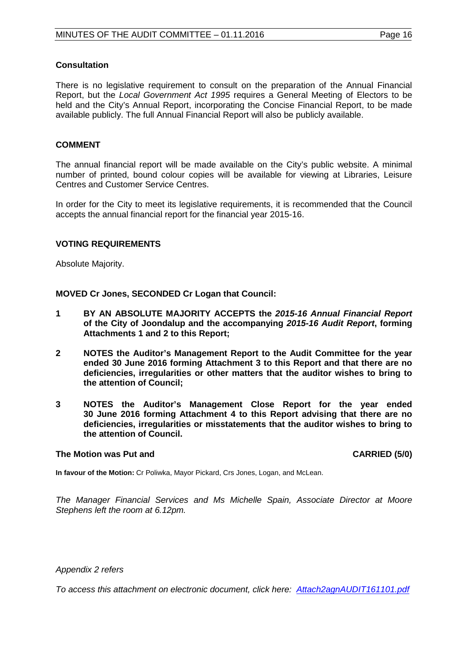#### **Consultation**

There is no legislative requirement to consult on the preparation of the Annual Financial Report, but the *Local Government Act 1995* requires a General Meeting of Electors to be held and the City's Annual Report, incorporating the Concise Financial Report, to be made available publicly. The full Annual Financial Report will also be publicly available.

#### **COMMENT**

The annual financial report will be made available on the City's public website. A minimal number of printed, bound colour copies will be available for viewing at Libraries, Leisure Centres and Customer Service Centres.

In order for the City to meet its legislative requirements, it is recommended that the Council accepts the annual financial report for the financial year 2015-16.

#### **VOTING REQUIREMENTS**

Absolute Majority.

**MOVED Cr Jones, SECONDED Cr Logan that Council:**

- **1 BY AN ABSOLUTE MAJORITY ACCEPTS the** *2015-16 Annual Financial Report* **of the City of Joondalup and the accompanying** *2015-16 Audit Report***, forming Attachments 1 and 2 to this Report;**
- **2 NOTES the Auditor's Management Report to the Audit Committee for the year ended 30 June 2016 forming Attachment 3 to this Report and that there are no deficiencies, irregularities or other matters that the auditor wishes to bring to the attention of Council;**
- **3 NOTES the Auditor's Management Close Report for the year ended 30 June 2016 forming Attachment 4 to this Report advising that there are no deficiencies, irregularities or misstatements that the auditor wishes to bring to the attention of Council.**

#### **The Motion was Put and CARRIED (5/0)**

**In favour of the Motion:** Cr Poliwka, Mayor Pickard, Crs Jones, Logan, and McLean.

*The Manager Financial Services and Ms Michelle Spain, Associate Director at Moore Stephens left the room at 6.12pm.*

*Appendix 2 refers*

*[To access this attachment on electronic document, click here: Attach2agnAUDIT161101.pdf](http://www.joondalup.wa.gov.au/files/committees/AUDT/2016/Attach2agnAUDIT161101.pdf)*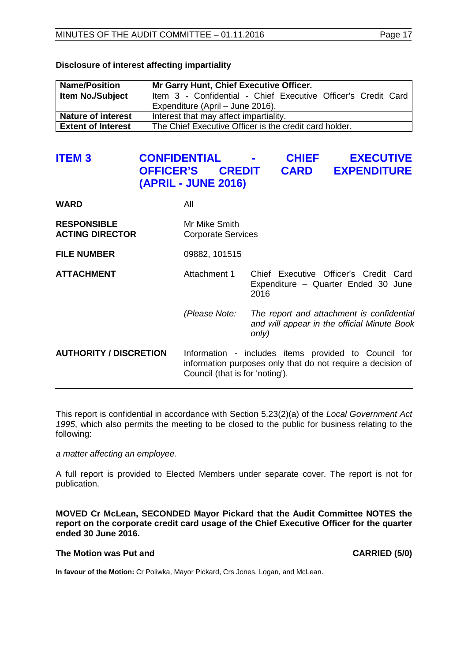| <b>Name/Position</b>      | Mr Garry Hunt, Chief Executive Officer.                       |
|---------------------------|---------------------------------------------------------------|
| <b>Item No./Subject</b>   | Item 3 - Confidential - Chief Executive Officer's Credit Card |
|                           | Expenditure (April - June 2016).                              |
| <b>Nature of interest</b> | Interest that may affect impartiality.                        |
| <b>Extent of Interest</b> | The Chief Executive Officer is the credit card holder.        |

# **Disclosure of interest affecting impartiality**

# <span id="page-16-0"></span>**ITEM 3 CONFIDENTIAL - CHIEF EXECUTIVE CREDIT CARD EXPENDITURE (APRIL - JUNE 2016)**

| WARD                                         | All                                                                                                                                                    |                                                                                                   |  |
|----------------------------------------------|--------------------------------------------------------------------------------------------------------------------------------------------------------|---------------------------------------------------------------------------------------------------|--|
| <b>RESPONSIBLE</b><br><b>ACTING DIRECTOR</b> | Mr Mike Smith<br><b>Corporate Services</b>                                                                                                             |                                                                                                   |  |
| <b>FILE NUMBER</b>                           | 09882, 101515                                                                                                                                          |                                                                                                   |  |
| <b>ATTACHMENT</b>                            | Attachment 1                                                                                                                                           | Chief Executive Officer's Credit Card<br>Expenditure - Quarter Ended 30 June<br>2016              |  |
|                                              | (Please Note:                                                                                                                                          | The report and attachment is confidential<br>and will appear in the official Minute Book<br>only) |  |
| <b>AUTHORITY / DISCRETION</b>                | Information - includes items provided to Council for<br>information purposes only that do not require a decision of<br>Council (that is for 'noting'). |                                                                                                   |  |

This report is confidential in accordance with Section 5.23(2)(a) of the *Local Government Act 1995*, which also permits the meeting to be closed to the public for business relating to the following:

*a matter affecting an employee.*

A full report is provided to Elected Members under separate cover. The report is not for publication.

**MOVED Cr McLean, SECONDED Mayor Pickard that the Audit Committee NOTES the report on the corporate credit card usage of the Chief Executive Officer for the quarter ended 30 June 2016.**

#### **The Motion was Put and CARRIED (5/0)**

**In favour of the Motion:** Cr Poliwka, Mayor Pickard, Crs Jones, Logan, and McLean.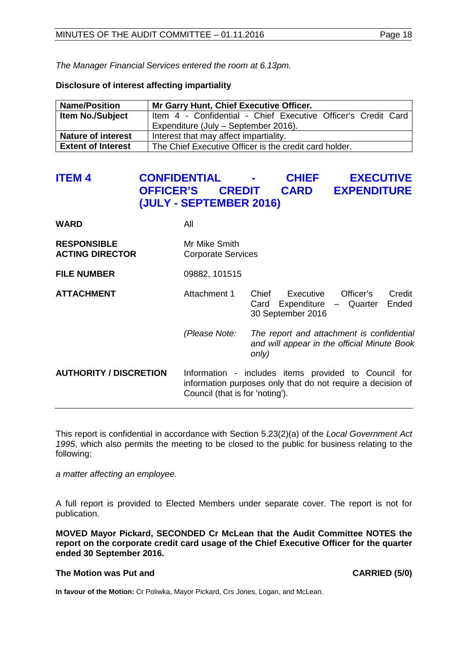*The Manager Financial Services entered the room at 6.13pm.*

#### **Disclosure of interest affecting impartiality**

| <b>Name/Position</b>      | Mr Garry Hunt, Chief Executive Officer.                       |
|---------------------------|---------------------------------------------------------------|
| <b>Item No./Subject</b>   | Item 4 - Confidential - Chief Executive Officer's Credit Card |
|                           | Expenditure (July – September 2016).                          |
| <b>Nature of interest</b> | Interest that may affect impartiality.                        |
| <b>Extent of Interest</b> | The Chief Executive Officer is the credit card holder.        |

# <span id="page-17-0"></span>**ITEM 4 CONFIDENTIAL - CHIEF EXECUTIVE OFFICER'S CREDIT CARD EXPENDITURE (JULY - SEPTEMBER 2016)**

| <b>WARD</b>                                  | All                                        |                                                                                                                     |  |
|----------------------------------------------|--------------------------------------------|---------------------------------------------------------------------------------------------------------------------|--|
| <b>RESPONSIBLE</b><br><b>ACTING DIRECTOR</b> | Mr Mike Smith<br><b>Corporate Services</b> |                                                                                                                     |  |
| <b>FILE NUMBER</b>                           | 09882, 101515                              |                                                                                                                     |  |
| <b>ATTACHMENT</b>                            | Attachment 1                               | Executive<br>Officer's<br>Credit<br>Chief<br>Ended<br>Card Expenditure - Quarter<br>30 September 2016               |  |
|                                              | (Please Note:                              | The report and attachment is confidential<br>and will appear in the official Minute Book<br>only)                   |  |
| <b>AUTHORITY / DISCRETION</b>                | Council (that is for 'noting').            | Information - includes items provided to Council for<br>information purposes only that do not require a decision of |  |

This report is confidential in accordance with Section 5.23(2)(a) of the *Local Government Act 1995*, which also permits the meeting to be closed to the public for business relating to the following:

*a matter affecting an employee.*

A full report is provided to Elected Members under separate cover. The report is not for publication.

**MOVED Mayor Pickard, SECONDED Cr McLean that the Audit Committee NOTES the report on the corporate credit card usage of the Chief Executive Officer for the quarter ended 30 September 2016.**

#### **The Motion was Put and CARRIED (5/0)**

<span id="page-17-1"></span>**In favour of the Motion:** Cr Poliwka, Mayor Pickard, Crs Jones, Logan, and McLean.